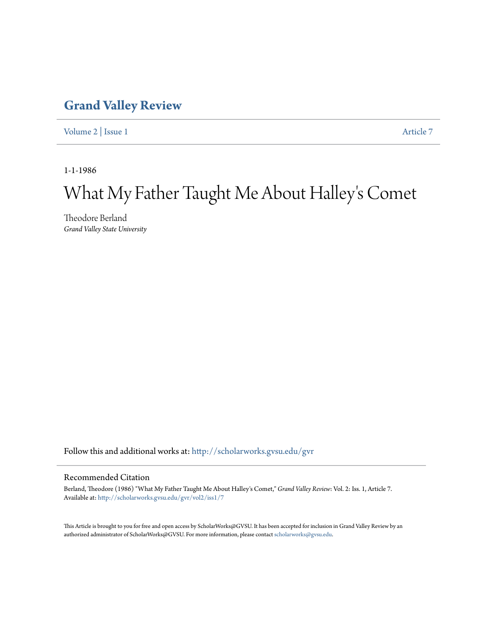## **[Grand Valley Review](http://scholarworks.gvsu.edu/gvr?utm_source=scholarworks.gvsu.edu%2Fgvr%2Fvol2%2Fiss1%2F7&utm_medium=PDF&utm_campaign=PDFCoverPages)**

[Volume 2](http://scholarworks.gvsu.edu/gvr/vol2?utm_source=scholarworks.gvsu.edu%2Fgvr%2Fvol2%2Fiss1%2F7&utm_medium=PDF&utm_campaign=PDFCoverPages) | [Issue 1](http://scholarworks.gvsu.edu/gvr/vol2/iss1?utm_source=scholarworks.gvsu.edu%2Fgvr%2Fvol2%2Fiss1%2F7&utm_medium=PDF&utm_campaign=PDFCoverPages) [Article 7](http://scholarworks.gvsu.edu/gvr/vol2/iss1/7?utm_source=scholarworks.gvsu.edu%2Fgvr%2Fvol2%2Fiss1%2F7&utm_medium=PDF&utm_campaign=PDFCoverPages)

1-1-1986

# What My Father Taught Me About Halley 's Comet

Theodore Berland *Grand Valley State University*

Follow this and additional works at: [http://scholarworks.gvsu.edu/gvr](http://scholarworks.gvsu.edu/gvr?utm_source=scholarworks.gvsu.edu%2Fgvr%2Fvol2%2Fiss1%2F7&utm_medium=PDF&utm_campaign=PDFCoverPages)

### Recommended Citation

Berland, Theodore (1986) "What My Father Taught Me About Halley's Comet," *Grand Valley Review*: Vol. 2: Iss. 1, Article 7. Available at: [http://scholarworks.gvsu.edu/gvr/vol2/iss1/7](http://scholarworks.gvsu.edu/gvr/vol2/iss1/7?utm_source=scholarworks.gvsu.edu%2Fgvr%2Fvol2%2Fiss1%2F7&utm_medium=PDF&utm_campaign=PDFCoverPages)

This Article is brought to you for free and open access by ScholarWorks@GVSU. It has been accepted for inclusion in Grand Valley Review by an authorized administrator of ScholarWorks@GVSU. For more information, please contact [scholarworks@gvsu.edu.](mailto:scholarworks@gvsu.edu)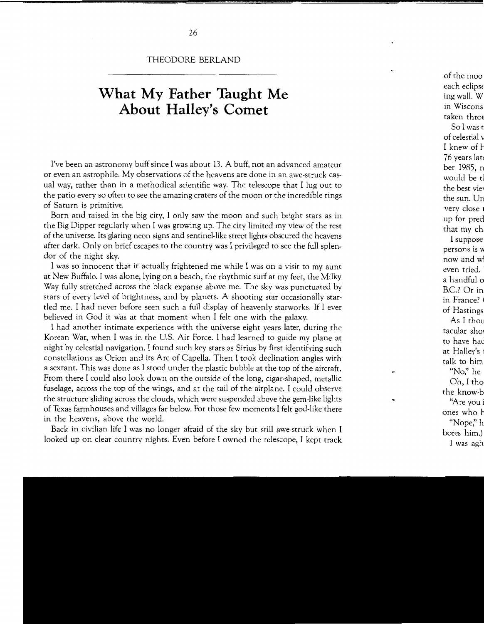#### THEODORE BERLAND

## **What My Father Taught Me About Halley's Comet**

I've been an astronomy buff since I was about 13. A buff, not an advanced amateur or even an astrophile. My observations of the heavens are done in an awe-struck casual way, rather than in a methodical scientific way. The telescope that I lug out to the patio every so often to see the amazing craters of the moon or the incredible rings of Saturn is primitive.

Born and raised in the big city, I only saw the moon and such bright stars as in the Big Dipper regularly when I was growing up. The city limited my view of the rest of the universe. Its glaring neon signs and sentinel-like street lights obscured the heavens after dark. Only on brief escapes to the country was I privileged to see the full splendor of the night sky.

I was so innocent that it actually frightened me while I was on a visit to my aunt at New Buffalo. I was alone, lying on a beach, the rhythmic surf at my feet, the Milky Way fully stretched across the black expanse above me. The sky was punctuated by stars of every level of brightness, and by planets. A shooting star occasionally startled me. I had never before seen such a full display of heavenly starworks. If I ever believed in God it was at that moment when I felt one with the galaxy.

I had another intimate experience with the universe eight years later, during the Korean War, when I was in the U.S. Air Force. I had learned to guide my plane at night by celestial navigation. I found such key stars as Sirius by first identifying such constellations as Orion and its Arc of Capella. Then I took declination angles with a sextant. This was done as I stood under the plastic bubble at the top of the aircraft. From there I could also look down on the outside of the long, cigar-shaped, metallic fuselage, across the top of the wings, and at the tail of the airplane. I could observe the structure sliding across the clouds, which were suspended above the gem-like lights of Texas farmhouses and villages far below. For those few moments I felt god-like there in the heavens, above the world.

Back in civilian life I was no longer afraid of the sky but still awe-struck when I looked up on clear country nights. Even before I owned the telescope, I kept track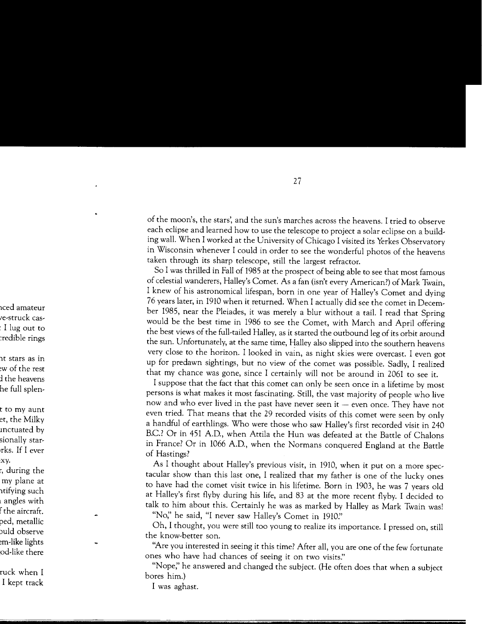of the moon's, the stars', and the sun's marches across the heavens. I tried to observe each eclipse and learned how to use the telescope to project a solar eclipse on a building wall. When I worked at the University of Chicago I visited its Yerkes Observatory in Wisconsin whenever I could in order to see the wonderful photos of the heavens taken through its sharp telescope, still the largest refractor.

So I was thrilled in Fall of 1985 at the prospect of being able to see that most famous of celestial wanderers, Halley's Comet. As a fan (isn't every American?) of Mark Twain, I knew of his astronomical lifespan, born in one year of Halley's Comet and dying 76 years later, in 1910 when it returned. When I actually did see the comet in December 1985, near the Pleiades, it was merely a blur without a tail. I read that Spring would be the best time in 1986 to see the Comet, with March and April offering the best views of the full-tailed Halley, as it started the outbound leg of its orbit around the sun. Unfortunately, at the same time, Halley also slipped into the southern heavens very close to the horizon. I looked in vain, as night skies were overcast. I even got up for predawn sightings, but no view of the comet was possible. Sadly, I realized that my chance was gone, since I certainly will not be around in 2061 to see it.

I suppose that the fact that this comet can only be seen once in a lifetime by most persons is what makes it most fascinating. Still, the vast majority of people who live now and who ever lived in the past have never seen it  $-$  even once. They have not even tried. That means that the 29 recorded visits of this comet were seen by only a handful of earthlings. Who were those who saw Halley's first recorded visit in 240 B.C.? Or in 451 A.D., when Attila the Hun was defeated at the Battle of Chalons in France? Or in 1066 A.D., when the Normans conquered England at the Battle of Hastings?

As I thought about Halley's previous visit, in 1910, when it put on a more spectacular show than this last one, I realized that my father is one of the lucky ones to have had the comet visit twice in his lifetime. Born in 1903, he was 7 years old at Halley's first flyby during his life, and 83 at the more recent flyby. I decided to talk to him about this. Certainly he was as marked by Halley as Mark Twain was!

"No;' he said, "I never saw Halley's Comet in 1910:'

Oh, I thought, you were still too young to realize its importance. I pressed on, still the know-better son.

"Are you interested in seeing it this time? After all, you are one of the few fortunate ones who have had chances of seeing it on two visits."

"Nope;' he answered and changed the subject. (He often does that when a subject bores him.)

I was aghast.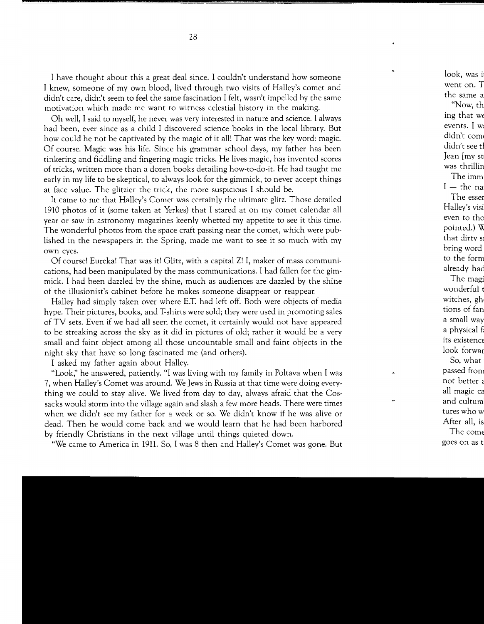I have thought about this a great deal since. I couldn't understand how someone I knew, someone of my own blood, lived through two visits of Halley's comet and didn't care, didn't seem to feel the same fascination I felt, wasn't impelled by the same motivation which made me want to witness celestial history in the making.

Oh well, I said to myself, he never was very interested in nature and science. I always had been, ever since as a child I discovered science books in the local library. But how could he not be captivated by the magic of it all! That was the key word: magic. Of course. Magic was his life. Since his grammar school days, my father has been tinkering and fiddling and fingering magic tricks. He lives magic, has invented scores of tricks, written more than a dozen books detailing how-to-do-it. He had taught me early in my life to be skeptical, to always look for the gimmick, to never accept things at face value. The glitzier the trick, the more suspicious I should be.

It came to me that Halley's Comet was certainly the ultimate glitz. Those detailed 1910 photos of it (some taken at Yerkes) that I stared at on my comet calendar all year or saw in astronomy magazines keenly whetted my appetite to see it this time. The wonderful photos from the space craft passing near the comet, which were published in the newspapers in the Spring, made me want to see it so much with my own eyes.

Of course! Eureka! That was it! Glitz, with a capital Z! I, maker of mass communications, had been manipulated by the mass communications. I had fallen for the gimmick. I had been dazzled by the shine, much as audiences are dazzled by the shine of the illusionist's cabinet before he makes someone disappear or reappear.

Halley had simply taken over where E.T. had left off. Both were objects of media hype. Their pictures, books, and T-shirts were sold; they were used in promoting sales of TV sets. Even if we had all seen the comet, it certainly would not have appeared to be streaking across the sky as it did in pictures of old; rather it would be a very small and faint object among all those uncountable small and faint objects in the night sky that have so long fascinated me (and others).

I asked my father again about Halley.

"Look;' he answered, patiently. "I was living with my family in Poltava when I was 7, when Halley's Comet was around. We Jews in Russia at that time were doing everything we could to stay alive. We lived from day to day, always afraid that the Cossacks would storm into the village again and slash a few more heads. There were times when we didn't see my father for a week or so. We didn't know if he was alive or dead. Then he would come back and we would learn that he had been harbored by friendly Christians in the next village until things quieted down.

"We came to America in 1911. So, I was 8 then and Halley's Comet was gone. But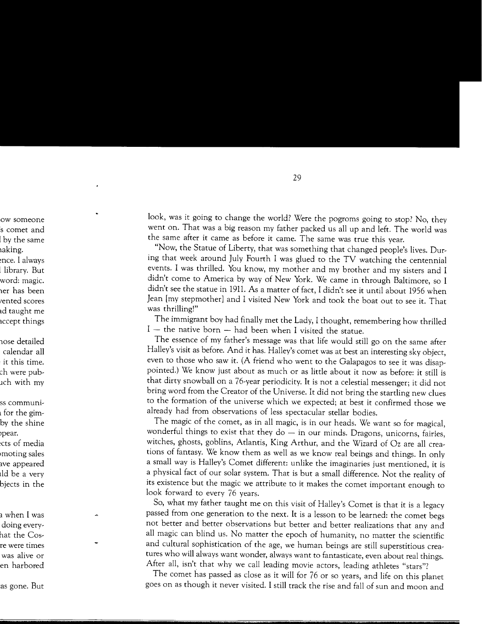look, was it going to change the world? Were the pogroms going to stop? No, they went on. That was a big reason my father packed us all up and left. The world was the same after it came as before it came. The same was true this year.

"Now, the Statue of Liberty, that was something that changed people's lives. During that week around July Fourth I was glued to the TV watching the centennial events. I was thrilled. You know, my mother and my brother and my sisters and I didn't come to America by way of New York. We came in through Baltimore, so I didn't see the statue in 1911. As a matter of fact, I didn't see it until about 1956 when Jean [my stepmother] and I visited New York and took the boat out to see it. That was thrilling!"

The immigrant boy had finally met the Lady, I thought, remembering how thrilled  $I$  – the native born – had been when I visited the statue.

The essence of my father's message was that life would still go on the same after Halley's visit as before. And it has. Halley's comet was at best an interesting sky object, even to those who saw it. (A friend who went to the Galapagos to see it was disappointed.) We know just about as much or as little about it now as before: it still is that dirty snowball on a 76-year periodicity. It is not a celestial messenger; it did not bring word from the Creator of the Universe. It did not bring the startling new clues to the formation of the universe which we expected; at best it confirmed those we already had from observations of less spectacular stellar bodies.

The magic of the comet, as in all magic, is in our heads. We want so for magical, wonderful things to exist that they do  $-$  in our minds. Dragons, unicorns, fairies, witches, ghosts, goblins, Atlantis, King Arthur, and the Wizard of Oz are all creations of fantasy. We know them as well as we know real beings and things. In only a small way is Halley's Comet different: unlike the imaginaries just mentioned, it is a physical fact of our solar system. That is but a small difference. Not the reality of its existence but the magic we attribute to it makes the comet important enough to look forward to every 76 years.

So, what my father taught me on this visit of Halley's Comet is that it is a legacy passed from one generation to the next. It is a lesson to be learned: the comet begs not better and better observations but better and better realizations that any and all magic can blind us. No matter the epoch of humanity, no matter the scientific and cultural sophistication of the age, we human beings are still superstitious creatures who will always want wonder, always want to fantasticate, even about real things. After all, isn't that why we call leading movie actors, leading athletes "stars"?

The comet has passed as close as it will for 76 or so years, and life on this planet goes on as though it never visited. I still track the rise and fall of sun and moon and